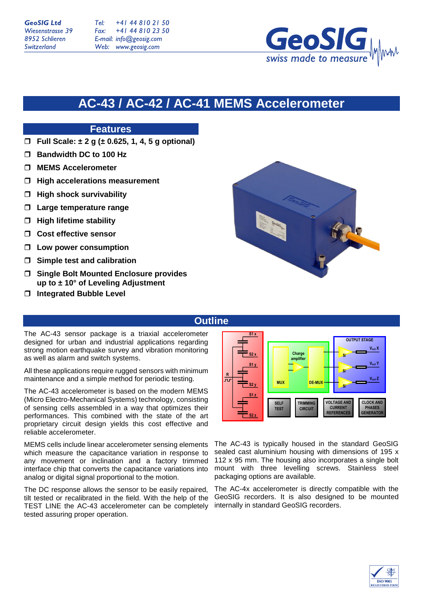+41 44 810 21 50  $Tel:$ +41 44 810 23 50 Fax: E-mail: info@geosig.com Web: www.geosig.com

# **AC-43 / AC-42 / AC-41 MEMS Accelerometer**

## **Features**

- **Full Scale: ± 2 g (± 0.625, 1, 4, 5 g optional)**
- **Bandwidth DC to 100 Hz**
- **MEMS Accelerometer**
- **High accelerations measurement**
- **High shock survivability**
- **Large temperature range**
- **High lifetime stability**
- **Cost effective sensor**
- **Low power consumption**
- **Simple test and calibration**
- **Single Bolt Mounted Enclosure provides up to ± 10° of Leveling Adjustment**
- **Integrated Bubble Level**



### **Outline**

The AC-43 sensor package is a triaxial accelerometer designed for urban and industrial applications regarding strong motion earthquake survey and vibration monitoring as well as alarm and switch systems.

All these applications require rugged sensors with minimum maintenance and a simple method for periodic testing.

The AC-43 accelerometer is based on the modern MEMS (Micro Electro-Mechanical Systems) technology, consisting of sensing cells assembled in a way that optimizes their performances. This combined with the state of the art proprietary circuit design yields this cost effective and reliable accelerometer.

MEMS cells include linear accelerometer sensing elements which measure the capacitance variation in response to any movement or inclination and a factory trimmed interface chip that converts the capacitance variations into analog or digital signal proportional to the motion.

The DC response allows the sensor to be easily repaired, tilt tested or recalibrated in the field. With the help of the TEST LINE the AC-43 accelerometer can be completely tested assuring proper operation.



The AC-43 is typically housed in the standard GeoSIG sealed cast aluminium housing with dimensions of 195 x 112 x 95 mm. The housing also incorporates a single bolt mount with three levelling screws. Stainless steel packaging options are available.

The AC-4x accelerometer is directly compatible with the GeoSIG recorders. It is also designed to be mounted internally in standard GeoSIG recorders.